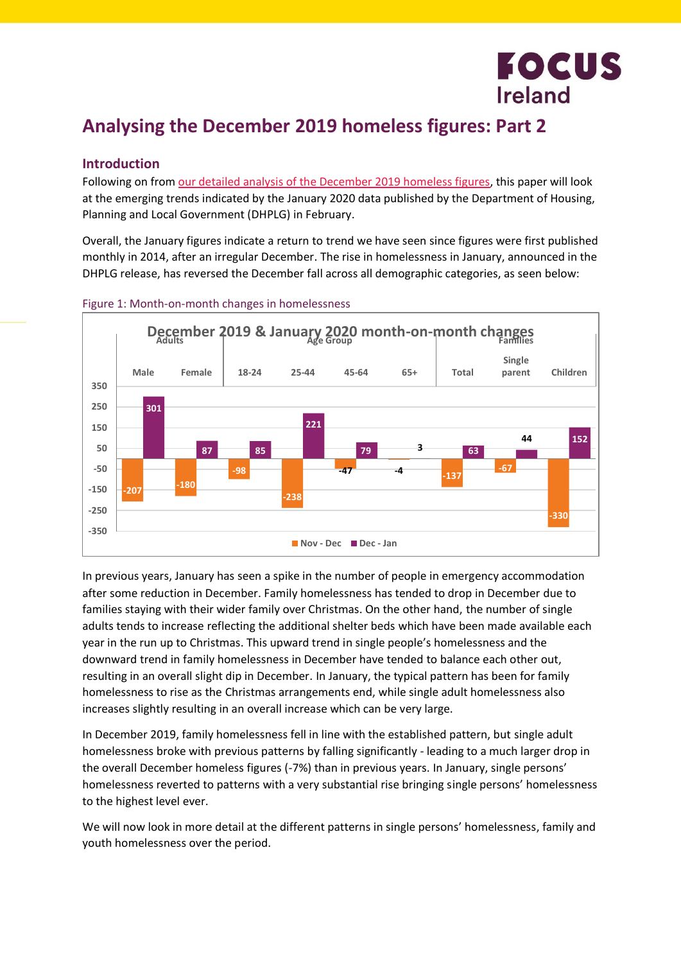

# **Analysing the December 2019 homeless figures: Part 2**

#### **Introduction**

Following on from [our detailed analysis of the December](http://bit.ly/Dec19analysis) 2019 homeless figures, this paper will look at the emerging trends indicated by the January 2020 data published by the Department of Housing, Planning and Local Government (DHPLG) in February.

Overall, the January figures indicate a return to trend we have seen since figures were first published monthly in 2014, after an irregular December. The rise in homelessness in January, announced in the DHPLG release, has reversed the December fall across all demographic categories, as seen below:



#### Figure 1: Month-on-month changes in homelessness

In previous years, January has seen a spike in the number of people in emergency accommodation after some reduction in December. Family homelessness has tended to drop in December due to families staying with their wider family over Christmas. On the other hand, the number of single adults tends to increase reflecting the additional shelter beds which have been made available each year in the run up to Christmas. This upward trend in single people's homelessness and the downward trend in family homelessness in December have tended to balance each other out, resulting in an overall slight dip in December. In January, the typical pattern has been for family homelessness to rise as the Christmas arrangements end, while single adult homelessness also increases slightly resulting in an overall increase which can be very large.

In December 2019, family homelessness fell in line with the established pattern, but single adult homelessness broke with previous patterns by falling significantly - leading to a much larger drop in the overall December homeless figures (-7%) than in previous years. In January, single persons' homelessness reverted to patterns with a very substantial rise bringing single persons' homelessness to the highest level ever.

We will now look in more detail at the different patterns in single persons' homelessness, family and youth homelessness over the period.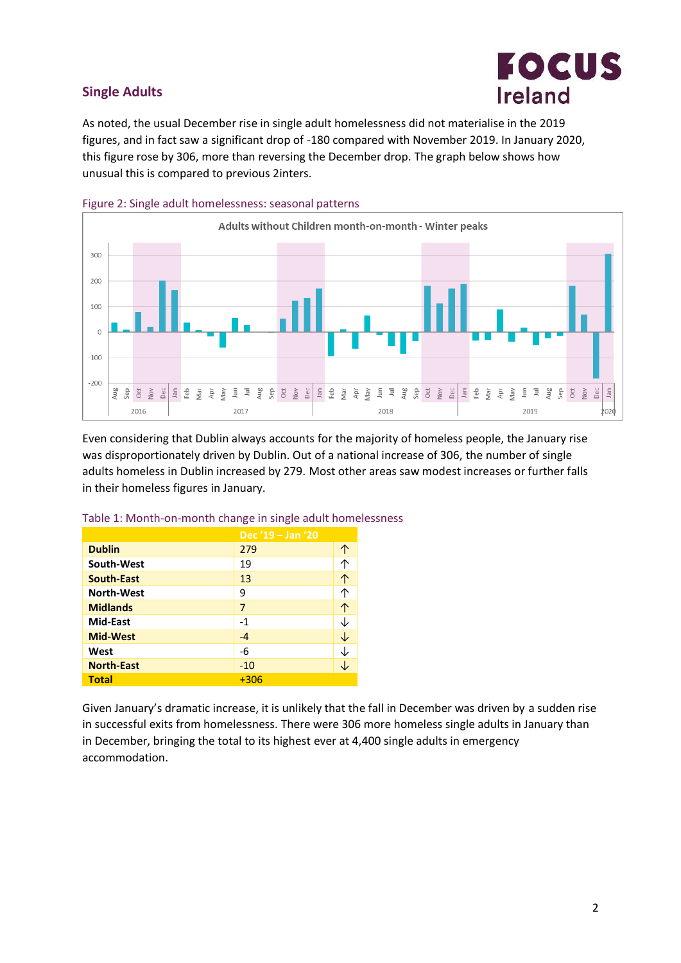## **Single Adults**



As noted, the usual December rise in single adult homelessness did not materialise in the 2019 figures, and in fact saw a significant drop of -180 compared with November 2019. In January 2020, this figure rose by 306, more than reversing the December drop. The graph below shows how unusual this is compared to previous 2inters.



Figure 2: Single adult homelessness: seasonal patterns

Even considering that Dublin always accounts for the majority of homeless people, the January rise was disproportionately driven by Dublin. Out of a national increase of 306, the number of single adults homeless in Dublin increased by 279. Most other areas saw modest increases or further falls in their homeless figures in January.

|                   | Dec '19 - Jan '20 |   |  |
|-------------------|-------------------|---|--|
| <b>Dublin</b>     | 279               |   |  |
| South-West        | 19                |   |  |
| <b>South-East</b> | 13                |   |  |
| <b>North-West</b> | 9                 |   |  |
| <b>Midlands</b>   | 7                 | 个 |  |
| Mid-East          | $-1$              |   |  |
| <b>Mid-West</b>   | $-4$              |   |  |
| West              | -6                |   |  |
| <b>North-East</b> | $-10$             |   |  |
| <b>Total</b>      | $+306$            |   |  |

Table 1: Month-on-month change in single adult homelessness

Given January's dramatic increase, it is unlikely that the fall in December was driven by a sudden rise in successful exits from homelessness. There were 306 more homeless single adults in January than in December, bringing the total to its highest ever at 4,400 single adults in emergency accommodation.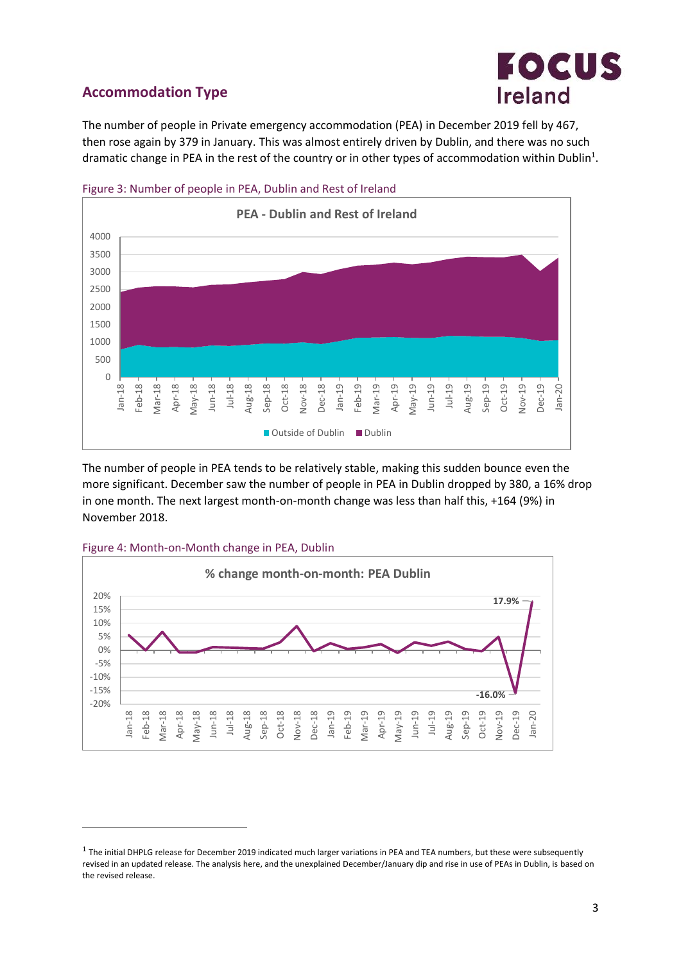

## **Accommodation Type**

The number of people in Private emergency accommodation (PEA) in December 2019 fell by 467, then rose again by 379 in January. This was almost entirely driven by Dublin, and there was no such dramatic change in PEA in the rest of the country or in other types of accommodation within Dublin<sup>1</sup>.



Figure 3: Number of people in PEA, Dublin and Rest of Ireland

The number of people in PEA tends to be relatively stable, making this sudden bounce even the more significant. December saw the number of people in PEA in Dublin dropped by 380, a 16% drop in one month. The next largest month-on-month change was less than half this, +164 (9%) in November 2018.



.



 $1$  The initial DHPLG release for December 2019 indicated much larger variations in PEA and TEA numbers, but these were subsequently revised in an updated release. The analysis here, and the unexplained December/January dip and rise in use of PEAs in Dublin, is based on the revised release.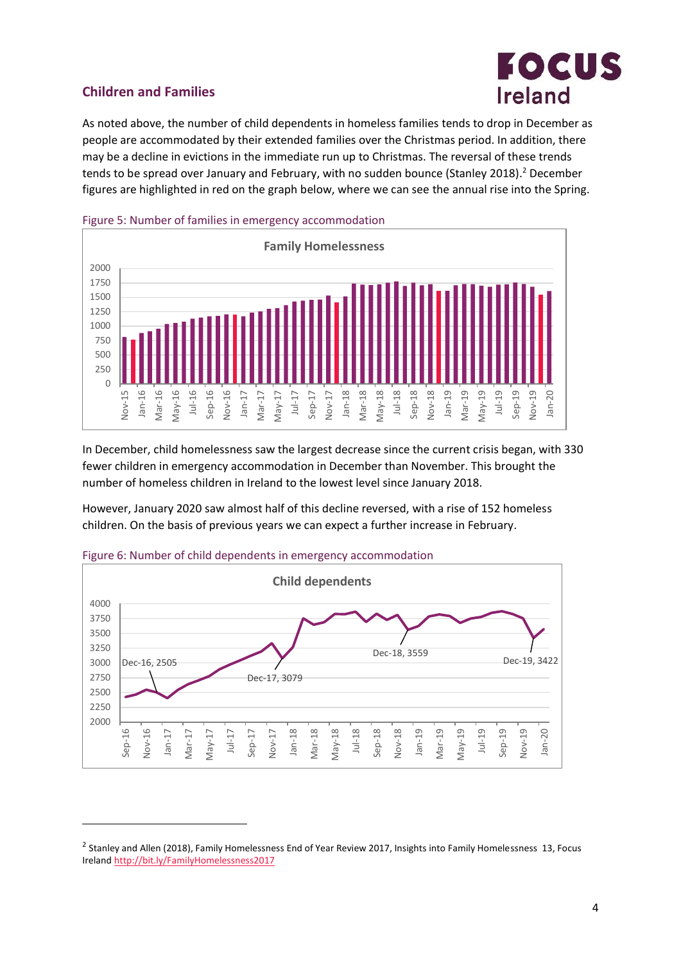

## **Children and Families**

1

As noted above, the number of child dependents in homeless families tends to drop in December as people are accommodated by their extended families over the Christmas period. In addition, there may be a decline in evictions in the immediate run up to Christmas. The reversal of these trends tends to be spread over January and February, with no sudden bounce (Stanley 2018). <sup>2</sup> December figures are highlighted in red on the graph below, where we can see the annual rise into the Spring.



In December, child homelessness saw the largest decrease since the current crisis began, with 330 fewer children in emergency accommodation in December than November. This brought the number of homeless children in Ireland to the lowest level since January 2018.

However, January 2020 saw almost half of this decline reversed, with a rise of 152 homeless children. On the basis of previous years we can expect a further increase in February.



#### Figure 6: Number of child dependents in emergency accommodation

 $^2$  Stanley and Allen (2018), Family Homelessness End of Year Review 2017, Insights into Family Homelessness 13, Focus Ireland<http://bit.ly/FamilyHomelessness2017>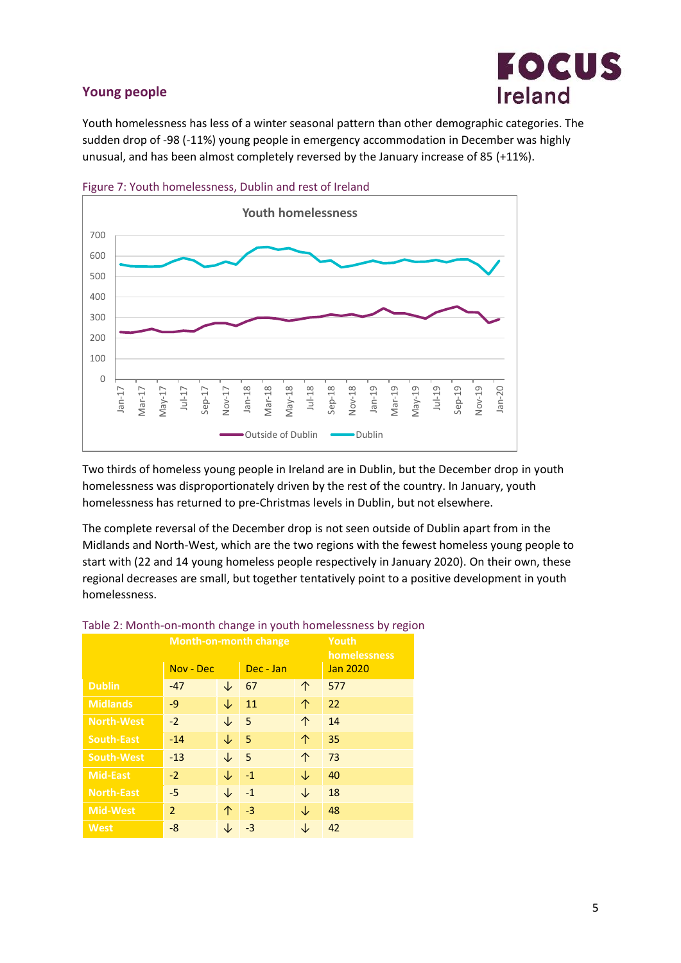## **Young people**



Youth homelessness has less of a winter seasonal pattern than other demographic categories. The sudden drop of -98 (-11%) young people in emergency accommodation in December was highly unusual, and has been almost completely reversed by the January increase of 85 (+11%).





Two thirds of homeless young people in Ireland are in Dublin, but the December drop in youth homelessness was disproportionately driven by the rest of the country. In January, youth homelessness has returned to pre-Christmas levels in Dublin, but not elsewhere.

The complete reversal of the December drop is not seen outside of Dublin apart from in the Midlands and North-West, which are the two regions with the fewest homeless young people to start with (22 and 14 young homeless people respectively in January 2020). On their own, these regional decreases are small, but together tentatively point to a positive development in youth homelessness.

| <b>Month-on-month change</b> |                |              |           |   | ັ<br>Youth<br>homelessness |
|------------------------------|----------------|--------------|-----------|---|----------------------------|
|                              | Nov - Dec      |              | Dec - Jan |   | <b>Jan 2020</b>            |
| <b>Dublin</b>                | $-47$          | ↓            | 67        | 个 | 577                        |
| <b>Midlands</b>              | $-9$           | ↓            | 11        | 个 | 22                         |
| <b>North-West</b>            | $-2$           | ↓            | -5        | 个 | 14                         |
| <b>South-East</b>            | $-14$          | $\downarrow$ | 5         | 个 | 35                         |
| <b>South-West</b>            | $-13$          | ↓            | 5         | 个 | 73                         |
| <b>Mid-East</b>              | $-2$           | ↓            | $-1$      | ↓ | 40                         |
| <b>North-East</b>            | $-5$           | ↓            | $-1$      | ↓ | 18                         |
| <b>Mid-West</b>              | $\overline{2}$ | 个            | $-3$      | ↓ | 48                         |
| <b>West</b>                  | $-8$           |              | -3        | ↓ | 42                         |

#### Table 2: Month-on-month change in youth homelessness by region